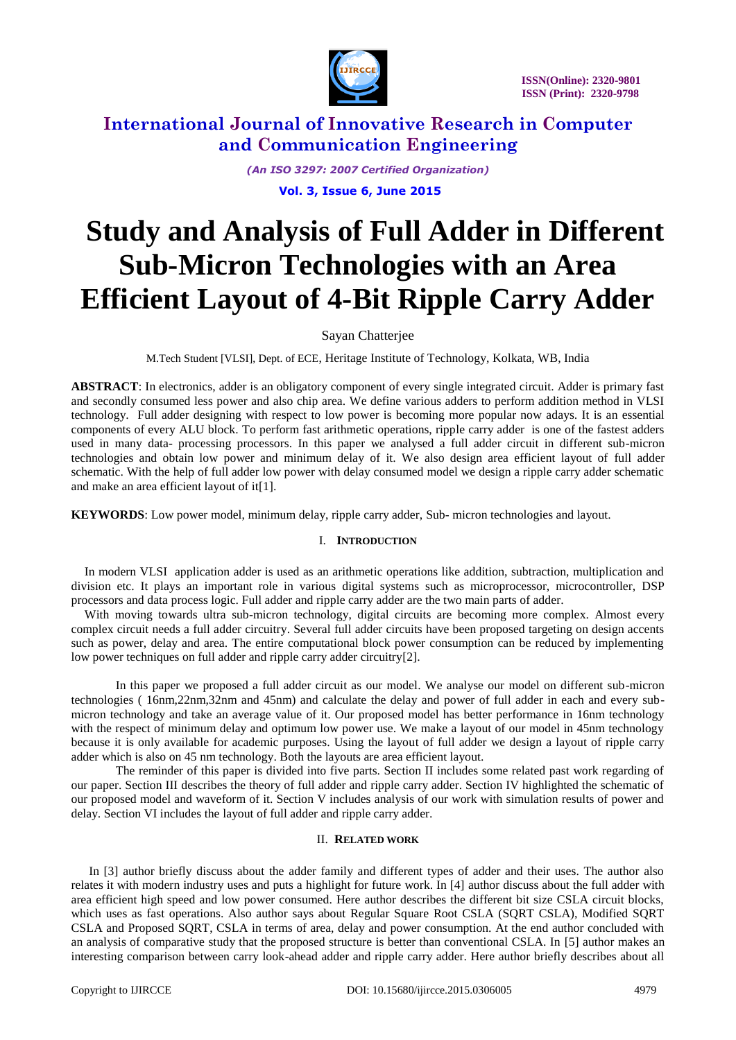

*(An ISO 3297: 2007 Certified Organization)*

**Vol. 3, Issue 6, June 2015**

# **Study and Analysis of Full Adder in Different Sub-Micron Technologies with an Area Efficient Layout of 4-Bit Ripple Carry Adder**

## Sayan Chatterjee

M.Tech Student [VLSI], Dept. of ECE, Heritage Institute of Technology, Kolkata, WB, India

**ABSTRACT**: In electronics, adder is an obligatory component of every single integrated circuit. Adder is primary fast and secondly consumed less power and also chip area. We define various adders to perform addition method in VLSI technology. Full adder designing with respect to low power is becoming more popular now adays. It is an essential components of every ALU block. To perform fast arithmetic operations, ripple carry adder is one of the fastest adders used in many data- processing processors. In this paper we analysed a full adder circuit in different sub-micron technologies and obtain low power and minimum delay of it. We also design area efficient layout of full adder schematic. With the help of full adder low power with delay consumed model we design a ripple carry adder schematic and make an area efficient layout of it[1].

**KEYWORDS**: Low power model, minimum delay, ripple carry adder, Sub- micron technologies and layout.

### I. **INTRODUCTION**

In modern VLSI application adder is used as an arithmetic operations like addition, subtraction, multiplication and division etc. It plays an important role in various digital systems such as microprocessor, microcontroller, DSP processors and data process logic. Full adder and ripple carry adder are the two main parts of adder.

With moving towards ultra sub-micron technology, digital circuits are becoming more complex. Almost every complex circuit needs a full adder circuitry. Several full adder circuits have been proposed targeting on design accents such as power, delay and area. The entire computational block power consumption can be reduced by implementing low power techniques on full adder and ripple carry adder circuitry[2].

In this paper we proposed a full adder circuit as our model. We analyse our model on different sub-micron technologies ( 16nm,22nm,32nm and 45nm) and calculate the delay and power of full adder in each and every submicron technology and take an average value of it. Our proposed model has better performance in 16nm technology with the respect of minimum delay and optimum low power use. We make a layout of our model in 45nm technology because it is only available for academic purposes. Using the layout of full adder we design a layout of ripple carry adder which is also on 45 nm technology. Both the layouts are area efficient layout.

The reminder of this paper is divided into five parts. Section II includes some related past work regarding of our paper. Section III describes the theory of full adder and ripple carry adder. Section IV highlighted the schematic of our proposed model and waveform of it. Section V includes analysis of our work with simulation results of power and delay. Section VI includes the layout of full adder and ripple carry adder.

### II. **RELATED WORK**

In [3] author briefly discuss about the adder family and different types of adder and their uses. The author also relates it with modern industry uses and puts a highlight for future work. In [4] author discuss about the full adder with area efficient high speed and low power consumed. Here author describes the different bit size CSLA circuit blocks, which uses as fast operations. Also author says about Regular Square Root CSLA (SORT CSLA), Modified SORT CSLA and Proposed SQRT, CSLA in terms of area, delay and power consumption. At the end author concluded with an analysis of comparative study that the proposed structure is better than conventional CSLA. In [5] author makes an interesting comparison between carry look-ahead adder and ripple carry adder. Here author briefly describes about all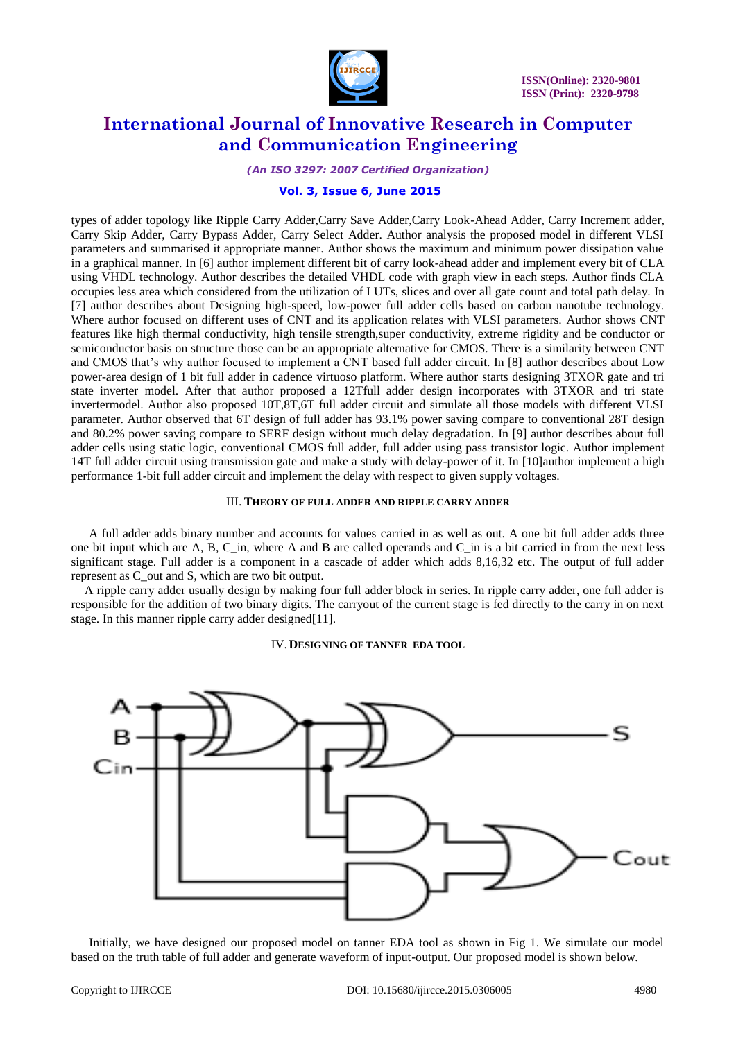

*(An ISO 3297: 2007 Certified Organization)*

## **Vol. 3, Issue 6, June 2015**

types of adder topology like Ripple Carry Adder,Carry Save Adder,Carry Look-Ahead Adder, Carry Increment adder, Carry Skip Adder, Carry Bypass Adder, Carry Select Adder. Author analysis the proposed model in different VLSI parameters and summarised it appropriate manner. Author shows the maximum and minimum power dissipation value in a graphical manner. In [6] author implement different bit of carry look-ahead adder and implement every bit of CLA using VHDL technology. Author describes the detailed VHDL code with graph view in each steps. Author finds CLA occupies less area which considered from the utilization of LUTs, slices and over all gate count and total path delay. In [7] author describes about Designing high-speed, low-power full adder cells based on carbon nanotube technology. Where author focused on different uses of CNT and its application relates with VLSI parameters. Author shows CNT features like high thermal conductivity, high tensile strength,super conductivity, extreme rigidity and be conductor or semiconductor basis on structure those can be an appropriate alternative for CMOS. There is a similarity between CNT and CMOS that's why author focused to implement a CNT based full adder circuit. In [8] author describes about Low power-area design of 1 bit full adder in cadence virtuoso platform. Where author starts designing 3TXOR gate and tri state inverter model. After that author proposed a 12Tfull adder design incorporates with 3TXOR and tri state invertermodel. Author also proposed 10T,8T,6T full adder circuit and simulate all those models with different VLSI parameter. Author observed that 6T design of full adder has 93.1% power saving compare to conventional 28T design and 80.2% power saving compare to SERF design without much delay degradation*.* In [9] author describes about full adder cells using static logic, conventional CMOS full adder, full adder using pass transistor logic. Author implement 14T full adder circuit using transmission gate and make a study with delay-power of it. In [10]author implement a high performance 1-bit full adder circuit and implement the delay with respect to given supply voltages.

#### III. **THEORY OF FULL ADDER AND RIPPLE CARRY ADDER**

A full adder adds binary number and accounts for values carried in as well as out. A one bit full adder adds three one bit input which are A, B, C in, where A and B are called operands and C in is a bit carried in from the next less significant stage. Full adder is a component in a cascade of adder which adds 8,16,32 etc. The output of full adder represent as C\_out and S, which are two bit output.

A ripple carry adder usually design by making four full adder block in series. In ripple carry adder, one full adder is responsible for the addition of two binary digits. The carryout of the current stage is fed directly to the carry in on next stage. In this manner ripple carry adder designed[11].

IV.**DESIGNING OF TANNER EDA TOOL**



Initially, we have designed our proposed model on tanner EDA tool as shown in Fig 1. We simulate our model based on the truth table of full adder and generate waveform of input-output. Our proposed model is shown below.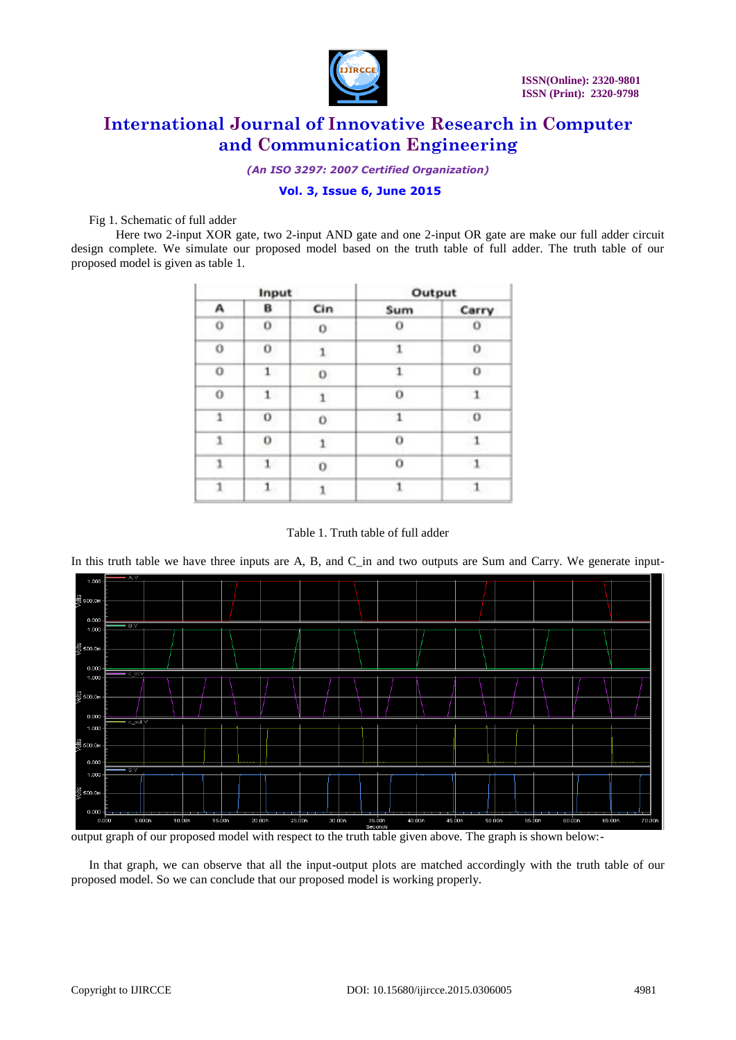

*(An ISO 3297: 2007 Certified Organization)*

## **Vol. 3, Issue 6, June 2015**

Fig 1. Schematic of full adder

Here two 2-input XOR gate, two 2-input AND gate and one 2-input OR gate are make our full adder circuit design complete. We simulate our proposed model based on the truth table of full adder. The truth table of our proposed model is given as table 1.

| Input        |              |              | Output      |              |
|--------------|--------------|--------------|-------------|--------------|
| А            | в            | Cin          | Sum         | Carry        |
| 0            | 0            | $\circ$      | o           | $\circ$      |
| 0            | $\sigma$     | $\mathbf{1}$ | 1           | 0            |
| O            | 1            | 0            | 1           | o            |
| 0            | $\mathbf{1}$ | 1            | о           | 1            |
| 1            | 0            | o            | 1           | $\alpha$     |
| $\mathbf{1}$ | 0            | 1            | $\mathbf 0$ | $\mathbf{1}$ |
| 1            | $\mathbf{1}$ | $\circ$      | o           | $\mathbf{1}$ |
| 1            | $\mathbf{1}$ |              |             | $\mathbf{1}$ |

Table 1. Truth table of full adder

In this truth table we have three inputs are  $A$ ,  $B$ , and  $C$  in and two outputs are Sum and Carry. We generate input-



output graph of our proposed model with respect to the truth table given above. The graph is shown below:-

In that graph, we can observe that all the input-output plots are matched accordingly with the truth table of our proposed model. So we can conclude that our proposed model is working properly.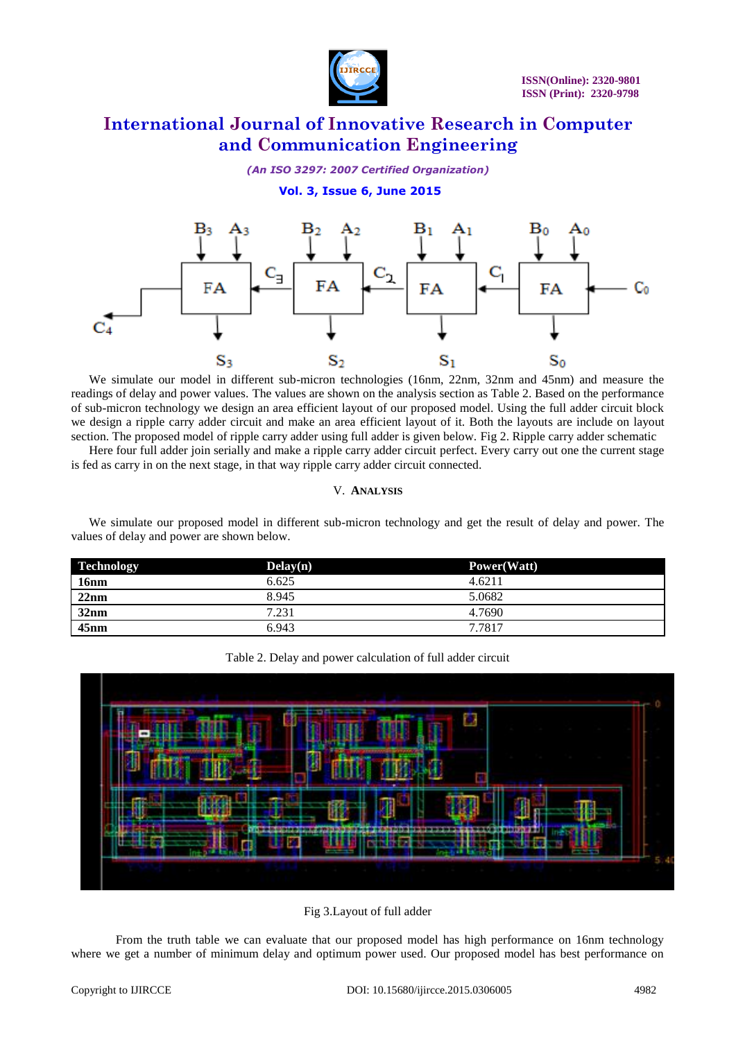

## *(An ISO 3297: 2007 Certified Organization)*

# **Vol. 3, Issue 6, June 2015**



We simulate our model in different sub-micron technologies (16nm, 22nm, 32nm and 45nm) and measure the readings of delay and power values. The values are shown on the analysis section as Table 2. Based on the performance of sub-micron technology we design an area efficient layout of our proposed model. Using the full adder circuit block we design a ripple carry adder circuit and make an area efficient layout of it. Both the layouts are include on layout section. The proposed model of ripple carry adder using full adder is given below. Fig 2. Ripple carry adder schematic

Here four full adder join serially and make a ripple carry adder circuit perfect. Every carry out one the current stage is fed as carry in on the next stage, in that way ripple carry adder circuit connected.

#### V. **ANALYSIS**

We simulate our proposed model in different sub-micron technology and get the result of delay and power. The values of delay and power are shown below.

| <b>Technology</b> | Delay(n) | Power(Watt) |  |
|-------------------|----------|-------------|--|
| <b>16nm</b>       | 6.625    | 4.6211      |  |
| 22nm              | 8.945    | 5.0682      |  |
| 32nm              | 7.231    | 4.7690      |  |
| 45nm              | 6.943    | 7.7817      |  |

| Table 2. Delay and power calculation of full adder circuit |  |
|------------------------------------------------------------|--|
|------------------------------------------------------------|--|



Fig 3.Layout of full adder

From the truth table we can evaluate that our proposed model has high performance on 16nm technology where we get a number of minimum delay and optimum power used. Our proposed model has best performance on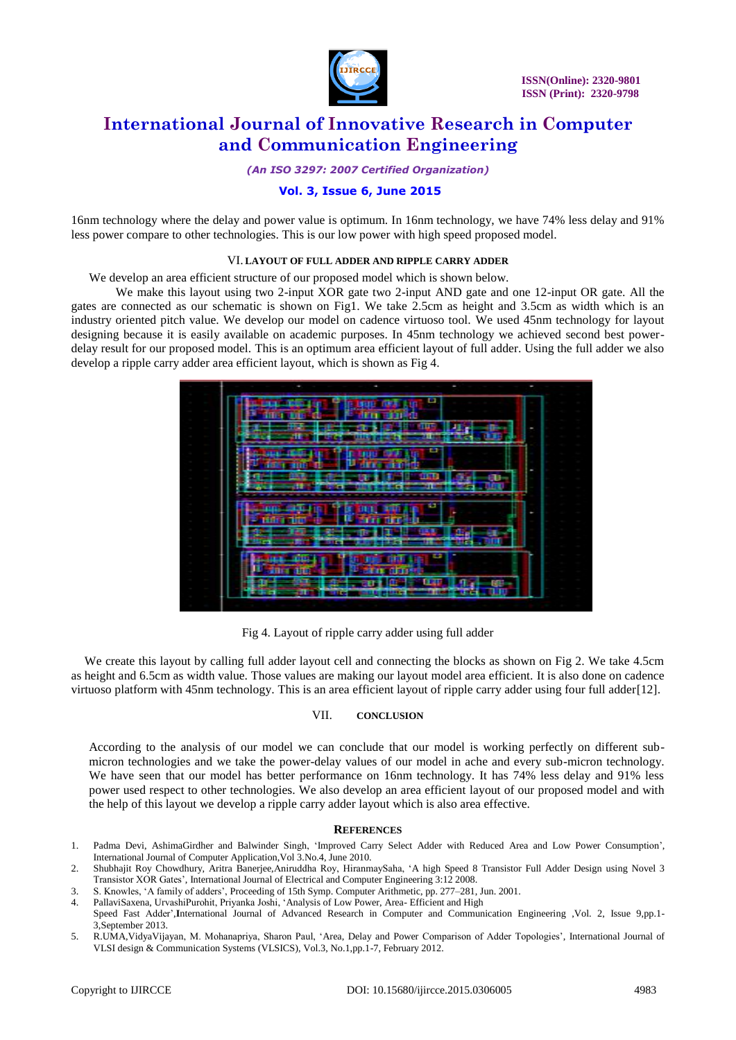

*(An ISO 3297: 2007 Certified Organization)*

## **Vol. 3, Issue 6, June 2015**

16nm technology where the delay and power value is optimum. In 16nm technology, we have 74% less delay and 91% less power compare to other technologies. This is our low power with high speed proposed model.

#### VI. **LAYOUT OF FULL ADDER AND RIPPLE CARRY ADDER**

We develop an area efficient structure of our proposed model which is shown below.

We make this layout using two 2-input XOR gate two 2-input AND gate and one 12-input OR gate. All the gates are connected as our schematic is shown on Fig1. We take 2.5cm as height and 3.5cm as width which is an industry oriented pitch value. We develop our model on cadence virtuoso tool. We used 45nm technology for layout designing because it is easily available on academic purposes. In 45nm technology we achieved second best powerdelay result for our proposed model. This is an optimum area efficient layout of full adder. Using the full adder we also develop a ripple carry adder area efficient layout, which is shown as Fig 4.



Fig 4. Layout of ripple carry adder using full adder

We create this layout by calling full adder layout cell and connecting the blocks as shown on Fig 2. We take 4.5cm as height and 6.5cm as width value. Those values are making our layout model area efficient. It is also done on cadence virtuoso platform with 45nm technology. This is an area efficient layout of ripple carry adder using four full adder[12].

#### VII. **CONCLUSION**

According to the analysis of our model we can conclude that our model is working perfectly on different submicron technologies and we take the power-delay values of our model in ache and every sub-micron technology. We have seen that our model has better performance on 16nm technology. It has 74% less delay and 91% less power used respect to other technologies. We also develop an area efficient layout of our proposed model and with the help of this layout we develop a ripple carry adder layout which is also area effective.

#### **REFERENCES**

- 1. Padma Devi, AshimaGirdher and Balwinder Singh, 'Improved Carry Select Adder with Reduced Area and Low Power Consumption', International Journal of Computer Application,Vol 3.No.4, June 2010.
- 2. Shubhajit Roy Chowdhury, Aritra Banerjee,Aniruddha Roy, HiranmaySaha, 'A high Speed 8 Transistor Full Adder Design using Novel 3 Transistor XOR Gates', International Journal of Electrical and Computer Engineering 3:12 2008.
- 3. S. Knowles, 'A family of adders', Proceeding of 15th Symp. Computer Arithmetic, pp. 277–281, Jun. 2001.
- 4. PallaviSaxena, UrvashiPurohit, Priyanka Joshi, 'Analysis of Low Power, Area- Efficient and High
- Speed Fast Adder',**I**nternational Journal of Advanced Research in Computer and Communication Engineering ,Vol. 2, Issue 9,pp.1- 3,September 2013.
- 5. R.UMA,VidyaVijayan, M. Mohanapriya, Sharon Paul, 'Area, Delay and Power Comparison of Adder Topologies', International Journal of VLSI design & Communication Systems (VLSICS), Vol.3, No.1,pp.1-7, February 2012.